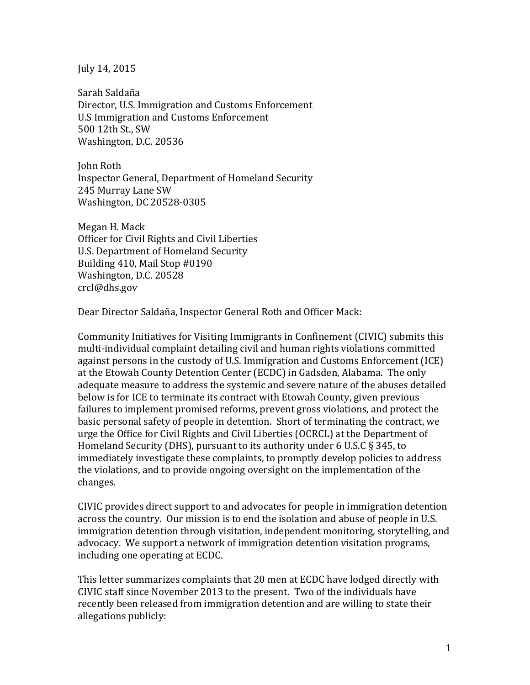July 14, 2015

Sarah Saldaña Director, U.S. Immigration and Customs Enforcement U.S Immigration and Customs Enforcement 500 12th St., SW Washington, D.C. 20536

John Roth Inspector General, Department of Homeland Security 245 Murray Lane SW Washington, DC 20528-0305

Megan H. Mack Officer for Civil Rights and Civil Liberties U.S. Department of Homeland Security Building 410, Mail Stop #0190 Washington, D.C. 20528 crcl@dhs.gov

Dear Director Saldaña, Inspector General Roth and Officer Mack:

Community Initiatives for Visiting Immigrants in Confinement (CIVIC) submits this multi-individual complaint detailing civil and human rights violations committed against persons in the custody of U.S. Immigration and Customs Enforcement (ICE) at the Etowah County Detention Center (ECDC) in Gadsden, Alabama. The only adequate measure to address the systemic and severe nature of the abuses detailed below is for ICE to terminate its contract with Etowah County, given previous failures to implement promised reforms, prevent gross violations, and protect the basic personal safety of people in detention. Short of terminating the contract, we urge the Office for Civil Rights and Civil Liberties (OCRCL) at the Department of Homeland Security (DHS), pursuant to its authority under 6 U.S.C  $\S$  345, to immediately investigate these complaints, to promptly develop policies to address the violations, and to provide ongoing oversight on the implementation of the changes. 

CIVIC provides direct support to and advocates for people in immigration detention across the country. Our mission is to end the isolation and abuse of people in U.S. immigration detention through visitation, independent monitoring, storytelling, and advocacy. We support a network of immigration detention visitation programs, including one operating at ECDC.

This letter summarizes complaints that 20 men at ECDC have lodged directly with CIVIC staff since November 2013 to the present. Two of the individuals have recently been released from immigration detention and are willing to state their allegations publicly: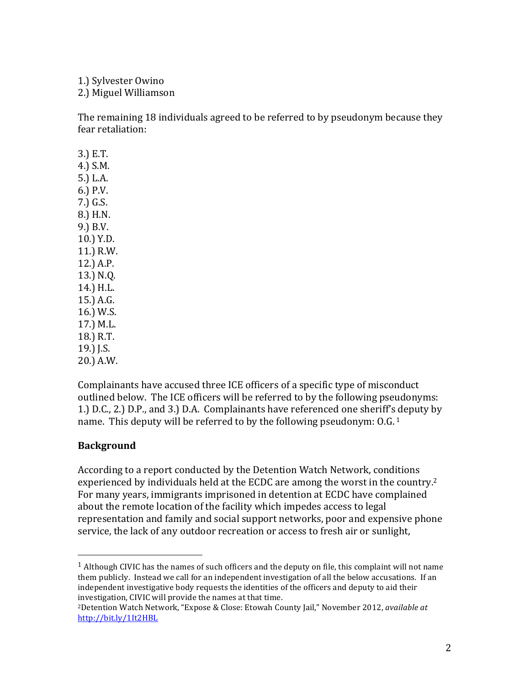1.) Sylvester Owino 2.) Miguel Williamson 

The remaining 18 individuals agreed to be referred to by pseudonym because they fear retaliation:

3.) E.T. 4.) S.M. 5.) L.A. 6.) P.V. 7.) G.S. 8.) H.N. 9.) B.V. 10.) Y.D. 11.) R.W. 12.) A.P. 13.) N.Q. 14.) H.L. 15.) A.G. 16.) W.S. 17.) M.L. 18.) R.T. 19.) J.S. 20.) A.W.

Complainants have accused three ICE officers of a specific type of misconduct outlined below. The ICE officers will be referred to by the following pseudonyms: 1.) D.C., 2.) D.P., and 3.) D.A. Complainants have referenced one sheriff's deputy by name. This deputy will be referred to by the following pseudonym:  $0.6^{1}$ .

#### **Background**

 

According to a report conducted by the Detention Watch Network, conditions experienced by individuals held at the ECDC are among the worst in the country.<sup>2</sup> For many years, immigrants imprisoned in detention at ECDC have complained about the remote location of the facility which impedes access to legal representation and family and social support networks, poor and expensive phone service, the lack of any outdoor recreation or access to fresh air or sunlight,

<sup>&</sup>lt;sup>1</sup> Although CIVIC has the names of such officers and the deputy on file, this complaint will not name them publicly. Instead we call for an independent investigation of all the below accusations. If an independent investigative body requests the identities of the officers and deputy to aid their investigation, CIVIC will provide the names at that time.

<sup>&</sup>lt;sup>2</sup>Detention Watch Network, "Expose & Close: Etowah County Jail," November 2012, *available at* http://bit.ly/1It2HBL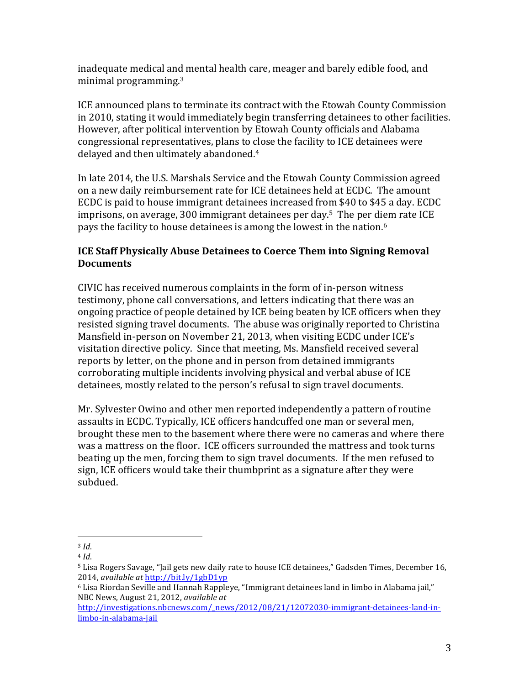inadequate medical and mental health care, meager and barely edible food, and minimal programming.<sup>3</sup>

ICE announced plans to terminate its contract with the Etowah County Commission in 2010, stating it would immediately begin transferring detainees to other facilities. However, after political intervention by Etowah County officials and Alabama congressional representatives, plans to close the facility to ICE detainees were delayed and then ultimately abandoned.<sup>4</sup>

In late 2014, the U.S. Marshals Service and the Etowah County Commission agreed on a new daily reimbursement rate for ICE detainees held at ECDC. The amount ECDC is paid to house immigrant detainees increased from \$40 to \$45 a day. ECDC imprisons, on average,  $300$  immigrant detainees per day.<sup>5</sup> The per diem rate ICE pays the facility to house detainees is among the lowest in the nation.<sup>6</sup>

# **ICE Staff Physically Abuse Detainees to Coerce Them into Signing Removal Documents**

CIVIC has received numerous complaints in the form of in-person witness testimony, phone call conversations, and letters indicating that there was an ongoing practice of people detained by ICE being beaten by ICE officers when they resisted signing travel documents. The abuse was originally reported to Christina Mansfield in-person on November 21, 2013, when visiting ECDC under ICE's visitation directive policy. Since that meeting, Ms. Mansfield received several reports by letter, on the phone and in person from detained immigrants corroborating multiple incidents involving physical and verbal abuse of ICE detainees, mostly related to the person's refusal to sign travel documents.

Mr. Sylvester Owino and other men reported independently a pattern of routine assaults in ECDC. Typically, ICE officers handcuffed one man or several men, brought these men to the basement where there were no cameras and where there was a mattress on the floor. ICE officers surrounded the mattress and took turns beating up the men, forcing them to sign travel documents. If the men refused to sign, ICE officers would take their thumbprint as a signature after they were subdued.

<sup>3</sup> *Id*.

<sup>4</sup> *Id*.

 $5$  Lisa Rogers Savage, "Jail gets new daily rate to house ICE detainees," Gadsden Times, December 16, 2014, *available at* http://bit.ly/1gbD1yp

 $6$  Lisa Riordan Seville and Hannah Rappleye, "Immigrant detainees land in limbo in Alabama jail," NBC News, August 21, 2012, *available at* 

http://investigations.nbcnews.com/\_news/2012/08/21/12072030-immigrant-detainees-land-inlimbo-in-alabama-jail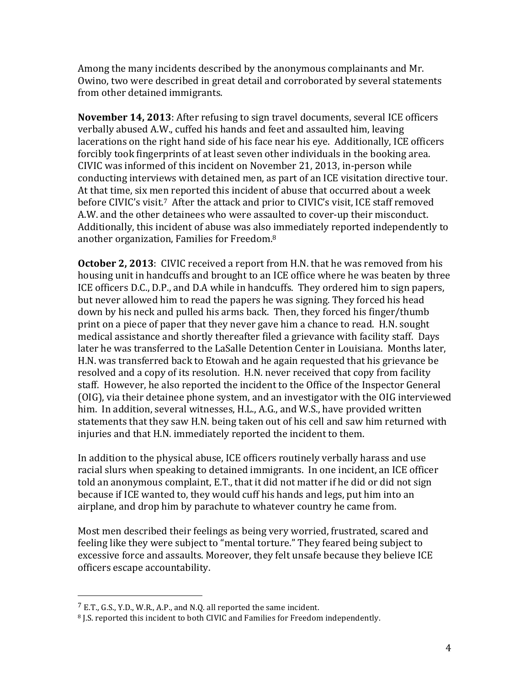Among the many incidents described by the anonymous complainants and Mr. Owino, two were described in great detail and corroborated by several statements from other detained immigrants.

**November 14, 2013:** After refusing to sign travel documents, several ICE officers verbally abused A.W., cuffed his hands and feet and assaulted him, leaving lacerations on the right hand side of his face near his eve. Additionally, ICE officers forcibly took fingerprints of at least seven other individuals in the booking area. CIVIC was informed of this incident on November 21, 2013, in-person while conducting interviews with detained men, as part of an ICE visitation directive tour. At that time, six men reported this incident of abuse that occurred about a week before CIVIC's visit.<sup>7</sup> After the attack and prior to CIVIC's visit, ICE staff removed A.W. and the other detainees who were assaulted to cover-up their misconduct. Additionally, this incident of abuse was also immediately reported independently to another organization, Families for Freedom.<sup>8</sup>

**October 2, 2013**: CIVIC received a report from H.N. that he was removed from his housing unit in handcuffs and brought to an ICE office where he was beaten by three ICE officers D.C., D.P., and D.A while in handcuffs. They ordered him to sign papers, but never allowed him to read the papers he was signing. They forced his head down by his neck and pulled his arms back. Then, they forced his finger/thumb print on a piece of paper that they never gave him a chance to read. H.N. sought medical assistance and shortly thereafter filed a grievance with facility staff. Days later he was transferred to the LaSalle Detention Center in Louisiana. Months later, H.N. was transferred back to Etowah and he again requested that his grievance be resolved and a copy of its resolution. H.N. never received that copy from facility staff. However, he also reported the incident to the Office of the Inspector General (OIG), via their detainee phone system, and an investigator with the OIG interviewed him. In addition, several witnesses, H.L., A.G., and W.S., have provided written statements that they saw H.N. being taken out of his cell and saw him returned with injuries and that H.N. immediately reported the incident to them.

In addition to the physical abuse, ICE officers routinely verbally harass and use racial slurs when speaking to detained immigrants. In one incident, an ICE officer told an anonymous complaint, E.T., that it did not matter if he did or did not sign because if ICE wanted to, they would cuff his hands and legs, put him into an airplane, and drop him by parachute to whatever country he came from.

Most men described their feelings as being very worried, frustrated, scared and feeling like they were subject to "mental torture." They feared being subject to excessive force and assaults. Moreover, they felt unsafe because they believe ICE officers escape accountability.

 $7$  E.T., G.S., Y.D., W.R., A.P., and N.Q. all reported the same incident.

<sup>&</sup>lt;sup>8</sup> J.S. reported this incident to both CIVIC and Families for Freedom independently.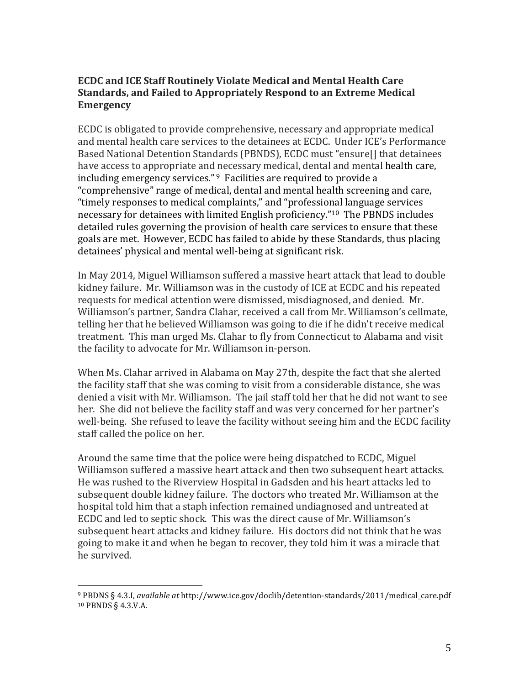### **ECDC** and ICE Staff Routinely Violate Medical and Mental Health Care **Standards, and Failed to Appropriately Respond to an Extreme Medical Emergency**

ECDC is obligated to provide comprehensive, necessary and appropriate medical and mental health care services to the detainees at ECDC. Under ICE's Performance Based National Detention Standards (PBNDS), ECDC must "ensure[] that detainees have access to appropriate and necessary medical, dental and mental health care, including emergency services."  $9$  Facilities are required to provide a "comprehensive" range of medical, dental and mental health screening and care, "timely responses to medical complaints," and "professional language services necessary for detainees with limited English proficiency."<sup>10</sup> The PBNDS includes detailed rules governing the provision of health care services to ensure that these goals are met. However, ECDC has failed to abide by these Standards, thus placing detainees' physical and mental well-being at significant risk.

In May 2014, Miguel Williamson suffered a massive heart attack that lead to double kidney failure. Mr. Williamson was in the custody of ICE at ECDC and his repeated requests for medical attention were dismissed, misdiagnosed, and denied. Mr. Williamson's partner, Sandra Clahar, received a call from Mr. Williamson's cellmate, telling her that he believed Williamson was going to die if he didn't receive medical treatment. This man urged Ms. Clahar to fly from Connecticut to Alabama and visit the facility to advocate for Mr. Williamson in-person.

When Ms. Clahar arrived in Alabama on May 27th, despite the fact that she alerted the facility staff that she was coming to visit from a considerable distance, she was denied a visit with Mr. Williamson. The jail staff told her that he did not want to see her. She did not believe the facility staff and was very concerned for her partner's well-being. She refused to leave the facility without seeing him and the ECDC facility staff called the police on her.

Around the same time that the police were being dispatched to ECDC, Miguel Williamson suffered a massive heart attack and then two subsequent heart attacks. He was rushed to the Riverview Hospital in Gadsden and his heart attacks led to subsequent double kidney failure. The doctors who treated Mr. Williamson at the hospital told him that a staph infection remained undiagnosed and untreated at ECDC and led to septic shock. This was the direct cause of Mr. Williamson's subsequent heart attacks and kidney failure. His doctors did not think that he was going to make it and when he began to recover, they told him it was a miracle that he survived.

<sup>9</sup> PBDNS § 4.3.I, *available at* http://www.ice.gov/doclib/detention-standards/2011/medical\_care.pdf 10 PBNDS § 4.3.V.A.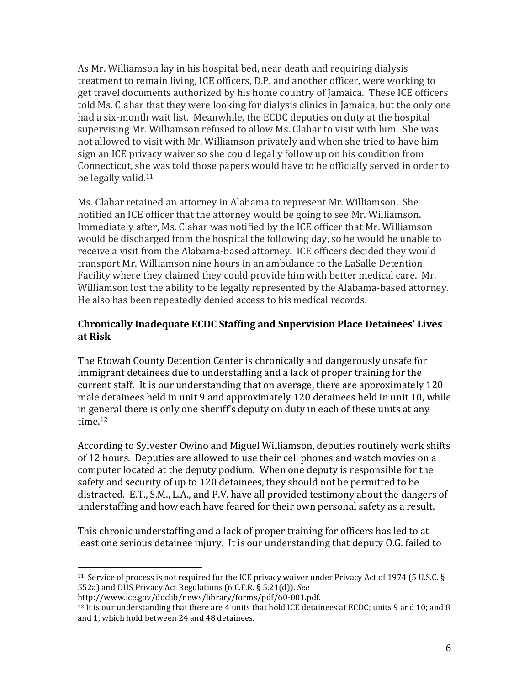As Mr. Williamson lay in his hospital bed, near death and requiring dialysis treatment to remain living, ICE officers, D.P. and another officer, were working to get travel documents authorized by his home country of Jamaica. These ICE officers told Ms. Clahar that they were looking for dialysis clinics in Jamaica, but the only one had a six-month wait list. Meanwhile, the ECDC deputies on duty at the hospital supervising Mr. Williamson refused to allow Ms. Clahar to visit with him. She was not allowed to visit with Mr. Williamson privately and when she tried to have him sign an ICE privacy waiver so she could legally follow up on his condition from Connecticut, she was told those papers would have to be officially served in order to be legally valid. $11$ 

Ms. Clahar retained an attorney in Alabama to represent Mr. Williamson. She notified an ICE officer that the attorney would be going to see Mr. Williamson. Immediately after, Ms. Clahar was notified by the ICE officer that Mr. Williamson would be discharged from the hospital the following day, so he would be unable to receive a visit from the Alabama-based attorney. ICE officers decided they would transport Mr. Williamson nine hours in an ambulance to the LaSalle Detention Facility where they claimed they could provide him with better medical care. Mr. Williamson lost the ability to be legally represented by the Alabama-based attorney. He also has been repeatedly denied access to his medical records.

# **Chronically Inadequate ECDC Staffing and Supervision Place Detainees' Lives at Risk**

The Etowah County Detention Center is chronically and dangerously unsafe for immigrant detainees due to understaffing and a lack of proper training for the current staff. It is our understanding that on average, there are approximately 120 male detainees held in unit 9 and approximately 120 detainees held in unit 10, while in general there is only one sheriff's deputy on duty in each of these units at any time.<sup>12</sup>

According to Sylvester Owino and Miguel Williamson, deputies routinely work shifts of 12 hours. Deputies are allowed to use their cell phones and watch movies on a computer located at the deputy podium. When one deputy is responsible for the safety and security of up to 120 detainees, they should not be permitted to be distracted. E.T., S.M., L.A., and P.V. have all provided testimony about the dangers of understaffing and how each have feared for their own personal safety as a result.

This chronic understaffing and a lack of proper training for officers has led to at least one serious detainee injury. It is our understanding that deputy O.G. failed to

<sup>&</sup>lt;sup>11</sup> Service of process is not required for the ICE privacy waiver under Privacy Act of 1974 (5 U.S.C. § 552a) and DHS Privacy Act Regulations (6 C.F.R. § 5.21(d)). See

http://www.ice.gov/doclib/news/library/forms/pdf/60-001.pdf. 

 $12$  It is our understanding that there are 4 units that hold ICE detainees at ECDC; units 9 and 10; and 8 and 1, which hold between 24 and 48 detainees.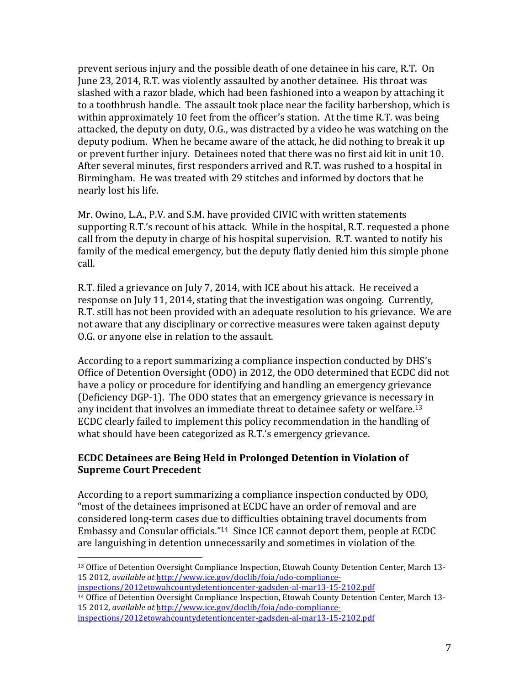prevent serious injury and the possible death of one detainee in his care, R.T. On June 23, 2014, R.T. was violently assaulted by another detainee. His throat was slashed with a razor blade, which had been fashioned into a weapon by attaching it to a toothbrush handle. The assault took place near the facility barbershop, which is within approximately 10 feet from the officer's station. At the time R.T. was being attacked, the deputy on duty,  $0.\mathsf{G}$ . was distracted by a video he was watching on the deputy podium. When he became aware of the attack, he did nothing to break it up or prevent further injury. Detainees noted that there was no first aid kit in unit 10. After several minutes, first responders arrived and R.T. was rushed to a hospital in Birmingham. He was treated with 29 stitches and informed by doctors that he nearly lost his life.

Mr. Owino, L.A., P.V. and S.M. have provided CIVIC with written statements supporting R.T.'s recount of his attack. While in the hospital, R.T. requested a phone call from the deputy in charge of his hospital supervision. R.T. wanted to notify his family of the medical emergency, but the deputy flatly denied him this simple phone call. 

R.T. filed a grievance on July 7, 2014, with ICE about his attack. He received a response on July 11, 2014, stating that the investigation was ongoing. Currently, R.T. still has not been provided with an adequate resolution to his grievance. We are not aware that any disciplinary or corrective measures were taken against deputy O.G. or anyone else in relation to the assault.

According to a report summarizing a compliance inspection conducted by DHS's Office of Detention Oversight (ODO) in 2012, the ODO determined that ECDC did not have a policy or procedure for identifying and handling an emergency grievance (Deficiency DGP-1). The ODO states that an emergency grievance is necessary in any incident that involves an immediate threat to detainee safety or welfare.<sup>13</sup> ECDC clearly failed to implement this policy recommendation in the handling of what should have been categorized as R.T.'s emergency grievance.

# **ECDC Detainees are Being Held in Prolonged Detention in Violation of Supreme Court Precedent**

According to a report summarizing a compliance inspection conducted by ODO, "most of the detainees imprisoned at ECDC have an order of removal and are considered long-term cases due to difficulties obtaining travel documents from Embassy and Consular officials."<sup>14</sup> Since ICE cannot deport them, people at ECDC are languishing in detention unnecessarily and sometimes in violation of the

inspections/2012etowahcountydetentioncenter-gadsden-al-mar13-15-2102.pdf <sup>14</sup> Office of Detention Oversight Compliance Inspection, Etowah County Detention Center, March 13-15 2012, *available at* http://www.ice.gov/doclib/foia/odo-compliance-

<sup>&</sup>lt;sup>13</sup> Office of Detention Oversight Compliance Inspection, Etowah County Detention Center, March 13-15 2012, *available at* http://www.ice.gov/doclib/foia/odo-compliance-

inspections/2012etowahcountydetentioncenter-gadsden-al-mar13-15-2102.pdf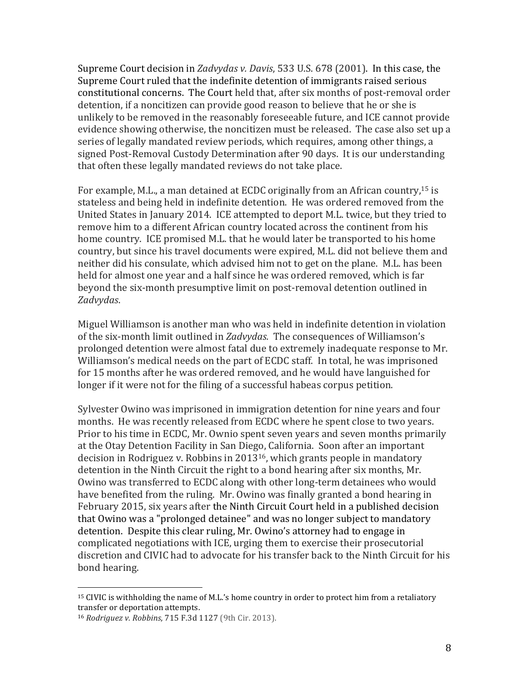Supreme Court decision in *Zadvydas v. Davis*, 533 U.S. 678 (2001). In this case, the Supreme Court ruled that the indefinite detention of immigrants raised serious constitutional concerns. The Court held that, after six months of post-removal order detention, if a noncitizen can provide good reason to believe that he or she is unlikely to be removed in the reasonably foreseeable future, and ICE cannot provide evidence showing otherwise, the noncitizen must be released. The case also set up a series of legally mandated review periods, which requires, among other things, a signed Post-Removal Custody Determination after 90 days. It is our understanding that often these legally mandated reviews do not take place.

For example, M.L., a man detained at ECDC originally from an African country,<sup>15</sup> is stateless and being held in indefinite detention. He was ordered removed from the United States in January 2014. ICE attempted to deport M.L. twice, but they tried to remove him to a different African country located across the continent from his home country. ICE promised M.L. that he would later be transported to his home country, but since his travel documents were expired, M.L. did not believe them and neither did his consulate, which advised him not to get on the plane. M.L. has been held for almost one year and a half since he was ordered removed, which is far beyond the six-month presumptive limit on post-removal detention outlined in *Zadvydas*.

Miguel Williamson is another man who was held in indefinite detention in violation of the six-month limit outlined in *Zadvydas*. The consequences of Williamson's prolonged detention were almost fatal due to extremely inadequate response to Mr. Williamson's medical needs on the part of ECDC staff. In total, he was imprisoned for 15 months after he was ordered removed, and he would have languished for longer if it were not for the filing of a successful habeas corpus petition.

Sylvester Owino was imprisoned in immigration detention for nine years and four months. He was recently released from ECDC where he spent close to two years. Prior to his time in ECDC, Mr. Ownio spent seven years and seven months primarily at the Otay Detention Facility in San Diego, California. Soon after an important decision in Rodriguez v. Robbins in 2013<sup>16</sup>, which grants people in mandatory detention in the Ninth Circuit the right to a bond hearing after six months, Mr. Owino was transferred to ECDC along with other long-term detainees who would have benefited from the ruling. Mr. Owino was finally granted a bond hearing in February 2015, six years after the Ninth Circuit Court held in a published decision that Owino was a "prolonged detainee" and was no longer subject to mandatory detention. Despite this clear ruling, Mr. Owino's attorney had to engage in complicated negotiations with ICE, urging them to exercise their prosecutorial discretion and CIVIC had to advocate for his transfer back to the Ninth Circuit for his bond hearing.

 $15$  CIVIC is withholding the name of M.L.'s home country in order to protect him from a retaliatory transfer or deportation attempts.

<sup>16</sup> *Rodriguez v. Robbins*, 715 F.3d 1127 (9th Cir. 2013).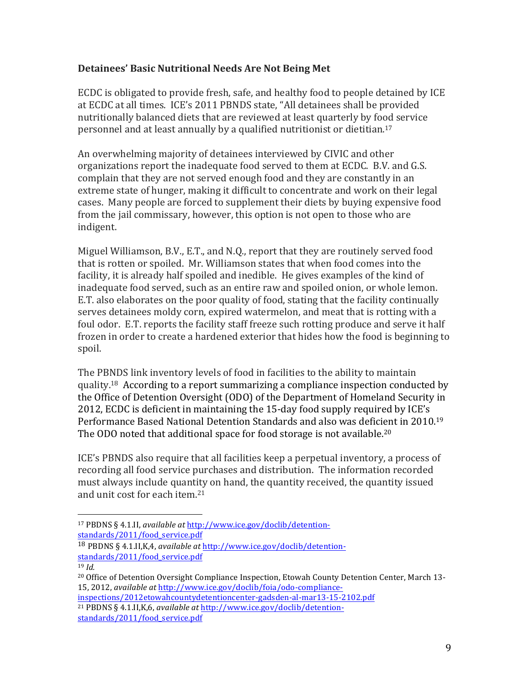## **Detainees' Basic Nutritional Needs Are Not Being Met**

ECDC is obligated to provide fresh, safe, and healthy food to people detained by ICE at ECDC at all times. ICE's 2011 PBNDS state, "All detainees shall be provided nutritionally balanced diets that are reviewed at least quarterly by food service personnel and at least annually by a qualified nutritionist or dietitian.<sup>17</sup>

An overwhelming majority of detainees interviewed by CIVIC and other organizations report the inadequate food served to them at ECDC. B.V. and G.S. complain that they are not served enough food and they are constantly in an extreme state of hunger, making it difficult to concentrate and work on their legal cases. Many people are forced to supplement their diets by buying expensive food from the jail commissary, however, this option is not open to those who are indigent.

Miguel Williamson, B.V., E.T., and N.O., report that they are routinely served food that is rotten or spoiled. Mr. Williamson states that when food comes into the facility, it is already half spoiled and inedible. He gives examples of the kind of inadequate food served, such as an entire raw and spoiled onion, or whole lemon. E.T. also elaborates on the poor quality of food, stating that the facility continually serves detainees moldy corn, expired watermelon, and meat that is rotting with a foul odor. E.T. reports the facility staff freeze such rotting produce and serve it half frozen in order to create a hardened exterior that hides how the food is beginning to spoil. 

The PBNDS link inventory levels of food in facilities to the ability to maintain quality.<sup>18</sup> According to a report summarizing a compliance inspection conducted by the Office of Detention Oversight (ODO) of the Department of Homeland Security in 2012, ECDC is deficient in maintaining the 15-day food supply required by ICE's Performance Based National Detention Standards and also was deficient in 2010.<sup>19</sup> The ODO noted that additional space for food storage is not available.<sup>20</sup>

ICE's PBNDS also require that all facilities keep a perpetual inventory, a process of recording all food service purchases and distribution. The information recorded must always include quantity on hand, the quantity received, the quantity issued and unit cost for each item.<sup>21</sup>

 <sup>17</sup> PBDNS § 4.1.II, *available at http://www.ice.gov/doclib/detention*standards/2011/food\_service.pdf

<sup>&</sup>lt;sup>18</sup> PBDNS § 4.1.II,K,4, *available at http://www.ice.gov/doclib/detention*standards/2011/food\_service.pdf

<sup>19</sup> *Id.*

<sup>&</sup>lt;sup>20</sup> Office of Detention Oversight Compliance Inspection, Etowah County Detention Center, March 13-15, 2012, *available at* http://www.ice.gov/doclib/foia/odo-compliance-

inspections/2012etowahcountydetentioncenter-gadsden-al-mar13-15-2102.pdf <sup>21</sup> PBDNS § 4.1.II, K, 6, *available at http://www.ice.gov/doclib/detention-*

standards/2011/food\_service.pdf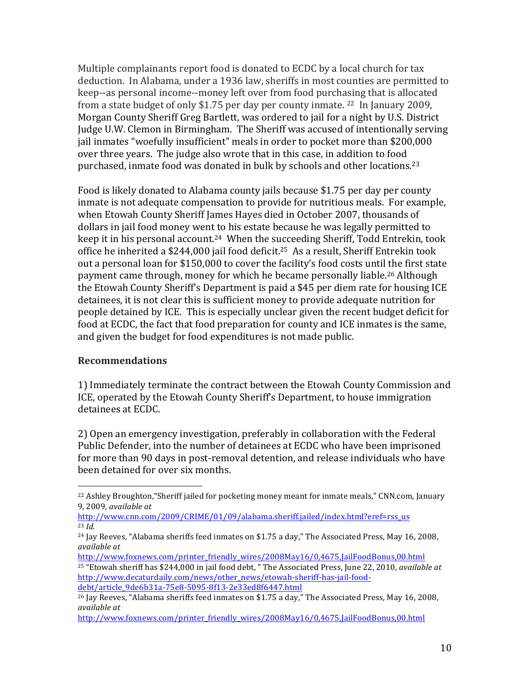Multiple complainants report food is donated to ECDC by a local church for tax deduction. In Alabama, under a 1936 law, sheriffs in most counties are permitted to keep--as personal income--money left over from food purchasing that is allocated from a state budget of only \$1.75 per day per county inmate.  $22$  In January 2009, Morgan County Sheriff Greg Bartlett, was ordered to jail for a night by U.S. District Judge U.W. Clemon in Birmingham. The Sheriff was accused of intentionally serving jail inmates "woefully insufficient" meals in order to pocket more than \$200,000 over three years. The judge also wrote that in this case, in addition to food purchased, inmate food was donated in bulk by schools and other locations.<sup>23</sup>

Food is likely donated to Alabama county jails because \$1.75 per day per county inmate is not adequate compensation to provide for nutritious meals. For example, when Etowah County Sheriff James Hayes died in October 2007, thousands of dollars in jail food money went to his estate because he was legally permitted to keep it in his personal account.<sup>24</sup> When the succeeding Sheriff, Todd Entrekin, took office he inherited a \$244,000 jail food deficit.<sup>25</sup> As a result, Sheriff Entrekin took out a personal loan for \$150,000 to cover the facility's food costs until the first state payment came through, money for which he became personally liable.<sup>26</sup> Although the Etowah County Sheriff's Department is paid a \$45 per diem rate for housing ICE detainees, it is not clear this is sufficient money to provide adequate nutrition for people detained by ICE. This is especially unclear given the recent budget deficit for food at ECDC, the fact that food preparation for county and ICE inmates is the same, and given the budget for food expenditures is not made public.

#### **Recommendations**

 

1) Immediately terminate the contract between the Etowah County Commission and ICE, operated by the Etowah County Sheriff's Department, to house immigration detainees at ECDC.

2) Open an emergency investigation, preferably in collaboration with the Federal Public Defender, into the number of detainees at ECDC who have been imprisoned for more than 90 days in post-removal detention, and release individuals who have been detained for over six months.

 $^{22}$  Ashley Broughton, "Sheriff jailed for pocketing money meant for inmate meals," CNN.com, January 9, 2009, *available at*

http://www.cnn.com/2009/CRIME/01/09/alabama.sheriff.jailed/index.html?eref=rss\_us <sup>23</sup> *Id.*

 $24$  Jay Reeves, "Alabama sheriffs feed inmates on \$1.75 a day," The Associated Press, May 16, 2008, *available* at

http://www.foxnews.com/printer\_friendly\_wires/2008May16/0,4675,JailFoodBonus,00.html  $25$  "Etowah sheriff has \$244,000 in jail food debt, " The Associated Press, June 22, 2010, *available at* http://www.decaturdaily.com/news/other\_news/etowah-sheriff-has-jail-fooddebt/article\_9de6b31a-75e8-5095-8f13-2e33ed8f6447.html

 $^{26}$  Jay Reeves, "Alabama sheriffs feed inmates on \$1.75 a day," The Associated Press, May 16, 2008, *available at* 

http://www.foxnews.com/printer\_friendly\_wires/2008May16/0,4675,JailFoodBonus,00.html